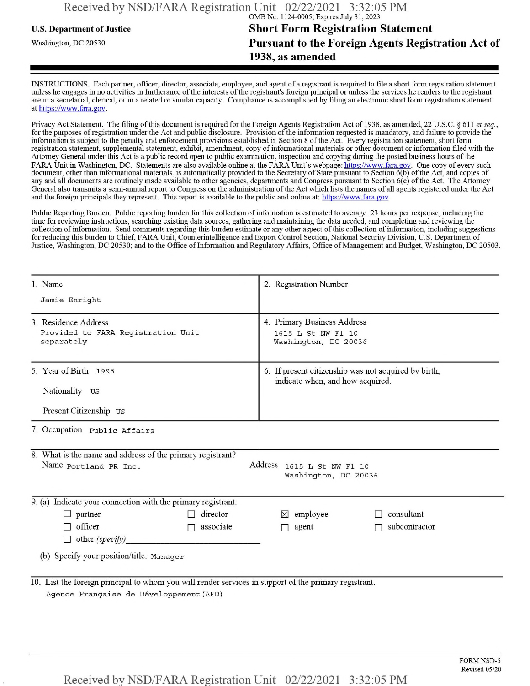## **u.s.** Department ofJustice **Short Form Registration Statement** Washington, dc <sup>20530</sup>**Pursuant to the Foreign Agents Registration Act of 1938, as amended**

INSTRUCTIONS. Each partner, officer, director, associate, employee, and agent of a registrant is required to file a short form registration statement unless he engages in no activities in furtherance ofthe interests ofthe registrant's foreign principal or unless the services he renders to the registrant are in a secretarial, clerical, or in a related or similar capacity. Compliance is accomplished by filing an electronic short form registration statement at https://www.fara.gov.

Privacy Act Statement. The filing of this document is required for the Foreign Agents Registration Act of 1938, as amended, 22 U.S.C. § 611 et seq., for the purposes ofregistration under the Act and public disclosure. Provision ofthe information requested is mandatory, and failure to provide the information is subject to the penalty and enforcement provisions established in Section 8 ofthe Act. Every registration statement, short form registration statement, supplemental statement, exhibit, amendment, copy ofinformational materials or other document or information filed with the Attorney General under this Act is a public record open to public examination, inspection and copying during the posted business hours of the FARA Unit in Washington, DC. Statements are also available online at the FARA Unit's webpage: https://www.fara.gov. One copy of every such document, other than informational materials, is automatically provided to the Secretary of State pursuant to Section 6(b) of the Act, and copies of any and all documents are routinely made available to other agencies, departments and Congress pursuant to Section 6(c) ofthe Act. The Attorney General also transmits a semi-annual report to Congress on the administration ofthe Act which lists the names of all agents registered under the Act and the foreign principals they represent. This report is available to the public and online at: https://www.fara.gov.

Public Reporting Burden. Public reporting burden for this collection ofinformation is estimated to average .23 hours per response, including the time for reviewing instructions, searching existing data sources, gathering and maintaining the data needed, and completing and reviewing the collection of information. Send comments regarding this burden estimate or any other aspect of this collection of information, including suggestions for reducing this burden to Chief, FARA Unit, Counterintelligence and Export Control Section, National Security Division, U.S. Department of Justice, Washington, DC 20530; and to the Office of Information and Regulatory Affairs, Office of Management and Budget, Washington, DC 20503.

| 1. Name                                                                                                                                          | 2. Registration Number                                                                   |  |  |  |
|--------------------------------------------------------------------------------------------------------------------------------------------------|------------------------------------------------------------------------------------------|--|--|--|
| Jamie Enright                                                                                                                                    |                                                                                          |  |  |  |
| 3 Residence Address<br>Provided to FARA Registration Unit<br>separately                                                                          | 4. Primary Business Address<br>1615 L St NW Fl 10<br>Washington, DC 20036                |  |  |  |
| 5. Year of Birth 1995<br>Nationality US<br>Present Citizenship US                                                                                | 6. If present citizenship was not acquired by birth,<br>indicate when, and how acquired. |  |  |  |
| 7. Occupation Public Affairs                                                                                                                     |                                                                                          |  |  |  |
| 8. What is the name and address of the primary registrant?<br>Address<br>Name portland PR Inc.<br>1615 L St NW Fl 10<br>Washington, DC 20036     |                                                                                          |  |  |  |
| $\overline{9}$ . (a) Indicate your connection with the primary registrant:                                                                       |                                                                                          |  |  |  |
| $\Box$ partner<br>director<br>officer<br>associate<br>П<br>$\Box$ other (specify)                                                                | consultant<br>$\boxtimes$ employee<br>subcontractor<br>agent<br>П.                       |  |  |  |
| (b) Specify your position/title: Manager                                                                                                         |                                                                                          |  |  |  |
| 10. List the foreign principal to whom you will render services in support of the primary registrant.<br>Agence Française de Développement (AFD) |                                                                                          |  |  |  |